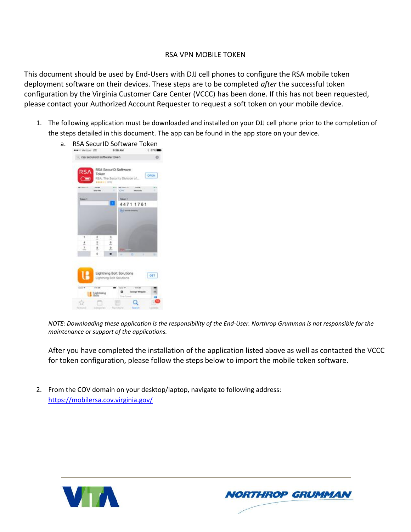## RSA VPN MOBILE TOKEN

This document should be used by End-Users with DJJ cell phones to configure the RSA mobile token deployment software on their devices. These steps are to be completed *after* the successful token configuration by the Virginia Customer Care Center (VCCC) has been done. If this has not been requested, please contact your Authorized Account Requester to request a soft token on your mobile device.

1. The following application must be downloaded and installed on your DJJ cell phone prior to the completion of the steps detailed in this document. The app can be found in the app store on your device.



*NOTE: Downloading these application is the responsibility of the End-User. Northrop Grumman is not responsible for the maintenance or support of the applications.*

After you have completed the installation of the application listed above as well as contacted the VCCC for token configuration, please follow the steps below to import the mobile token software.

2. From the COV domain on your desktop/laptop, navigate to following address: <https://mobilersa.cov.virginia.gov/>



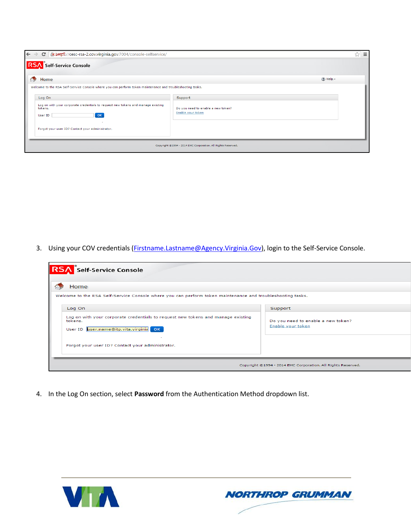| ← → C   x https://cesc-rsa-2.cov.virginia.gov:7004/console-selfservice/                                                                                                                                                                                                                  |                                                                    | ☆<br>$\equiv$     |
|------------------------------------------------------------------------------------------------------------------------------------------------------------------------------------------------------------------------------------------------------------------------------------------|--------------------------------------------------------------------|-------------------|
| <b>RSA</b> Self-Service Console                                                                                                                                                                                                                                                          |                                                                    |                   |
| Home                                                                                                                                                                                                                                                                                     |                                                                    | $(2)$ Help $\ast$ |
| Welcome to the RSA Self-Service Console where you can perform token maintenance and troubleshooting tasks.<br>Log On<br>Log on with your corporate credentials to request new tokens and manage existing<br>tokens.<br>OK<br>User ID<br>Forgot your user ID? Contact your administrator. | Support<br>Do you need to enable a new token?<br>Enable your token |                   |
|                                                                                                                                                                                                                                                                                          | Copyright @1994 - 2014 EMC Corporation. All Rights Reserved.       |                   |

3. Using your COV credentials (*Firstname.Lastname@Agency.Virginia.Gov*), login to the Self-Service Console.

| <b>RSA</b> Self-Service Console                                                                                    |                                               |
|--------------------------------------------------------------------------------------------------------------------|-----------------------------------------------|
| Home<br>Welcome to the RSA Self-Service Console where you can perform token maintenance and troubleshooting tasks. |                                               |
| Log On<br>Log on with your corporate credentials to request new tokens and manage existing<br>tokens.              | Support<br>Do you need to enable a new token? |
| User ID user.name@itp.vita.virginia OK                                                                             | Enable your token                             |
| Forgot your user ID? Contact your administrator.                                                                   |                                               |
| Copyright ©1994 - 2014 EMC Corporation. All Rights Reserved.                                                       |                                               |

4. In the Log On section, select **Password** from the Authentication Method dropdown list.



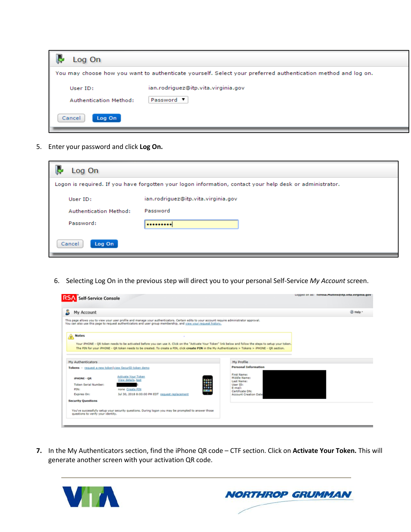

5. Enter your password and click **Log On.**

| Log On                 |                                                                                                           |
|------------------------|-----------------------------------------------------------------------------------------------------------|
|                        | Logon is required. If you have forgotten your logon information, contact your help desk or administrator. |
| User ID:               | ian.rodriguez@itp.vita.virginia.gov                                                                       |
| Authentication Method: | Password                                                                                                  |
| Password:              |                                                                                                           |
| Cancel<br>Log On       |                                                                                                           |

6. Selecting Log On in the previous step will direct you to your personal Self-Service *My Account* screen.

| <b>RSA</b> Self-Service Console                       |                                                                                                                                                                                                                                                                                                                   |                                           | Logged on as: Teresa.Mullins@itp.vita.virginia.gov |
|-------------------------------------------------------|-------------------------------------------------------------------------------------------------------------------------------------------------------------------------------------------------------------------------------------------------------------------------------------------------------------------|-------------------------------------------|----------------------------------------------------|
| My Account                                            |                                                                                                                                                                                                                                                                                                                   |                                           | (2) Help *                                         |
|                                                       | This page allows you to view your user profile and manage your authenticators. Certain edits to your account require administrator approval.<br>You can also use this page to request authenticators and user group membership, and view your request history,                                                    |                                           |                                                    |
| <b>Notes</b><br>Δ                                     |                                                                                                                                                                                                                                                                                                                   |                                           |                                                    |
|                                                       | Your iPHONE - QR token needs to be activated before you can use it. Click on the "Activate Your Token" link below and follow the steps to setup your token.<br>The PIN for your iPHONE - OR token needs to be created. To create a PIN, click create PIN in the My Authenticators > Tokens > iPHONE - OR section. |                                           |                                                    |
| My Authenticators                                     |                                                                                                                                                                                                                                                                                                                   | My Profile                                |                                                    |
| Tokens - request a new token view SecuriD token demo- |                                                                                                                                                                                                                                                                                                                   | <b>Personal Information</b>               |                                                    |
| <b>IPHONE - OR</b>                                    | Activate Your Token<br>View details, test                                                                                                                                                                                                                                                                         | First Name:<br>Middle Name:<br>Last Name: |                                                    |
| <b>Token Serial Number:</b>                           | ≣                                                                                                                                                                                                                                                                                                                 | User ID:                                  |                                                    |
| PIN:                                                  | none Create PIN                                                                                                                                                                                                                                                                                                   | E-mail:<br>Certificate DN:                |                                                    |
| Expires On:                                           | 14<br>Jul 30, 2018 8:00:00 PM EDT request replacement                                                                                                                                                                                                                                                             | <b>Account Creation Date</b>              |                                                    |
| <b>Security Questions</b>                             |                                                                                                                                                                                                                                                                                                                   |                                           |                                                    |
| questions to verify your identity.                    | You've successfully setup your security questions. During logon you may be prompted to answer those                                                                                                                                                                                                               |                                           |                                                    |
|                                                       |                                                                                                                                                                                                                                                                                                                   |                                           |                                                    |

**7.** In the My Authenticators section, find the iPhone QR code – CTF section. Click on **Activate Your Token.** This will generate another screen with your activation QR code.



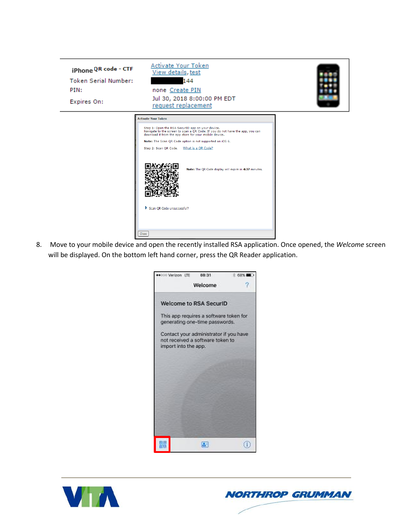

8. Move to your mobile device and open the recently installed RSA application. Once opened, the *Welcome* screen will be displayed. On the bottom left hand corner, press the QR Reader application.





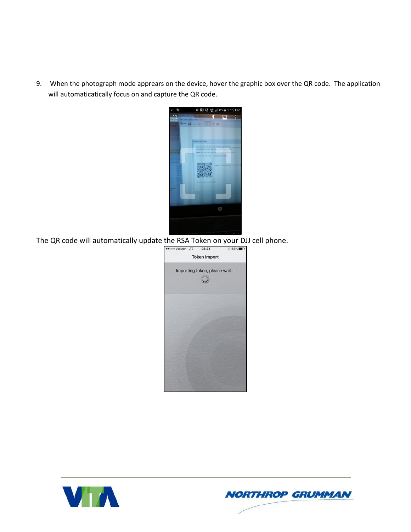9. When the photograph mode apprears on the device, hover the graphic box over the QR code. The application will automaticatically focus on and capture the QR code.



The QR code will automatically update the RSA Token on your DJJ cell phone.<br>  $\frac{1}{\sqrt{1-\frac{1}{1-\frac{1}{1-\frac{1}{1-\frac{1}{1-\frac{1}{1-\frac{1}{1-\frac{1}{1-\frac{1}{1-\frac{1}{1-\frac{1}{1-\frac{1}{1-\frac{1}{1-\frac{1}{1-\frac{1}{1-\frac{1}{1-\frac{1}{1-\frac{1}{1-\frac{1}{1-\frac{1}{1-\frac{1}{1-\frac{1}{1-\frac{1}{1-\frac$ 





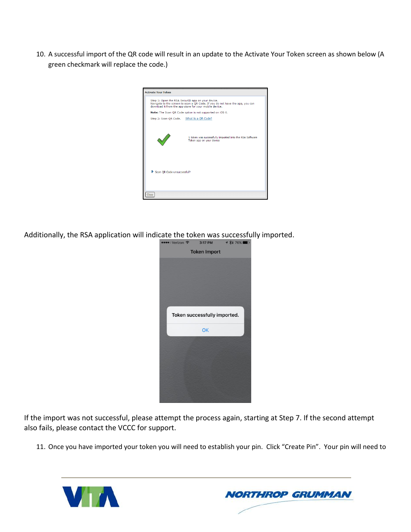10. A successful import of the QR code will result in an update to the Activate Your Token screen as shown below (A green checkmark will replace the code.)

| <b>Activate Your Token</b>               |                                                                                                                                                                                             |
|------------------------------------------|---------------------------------------------------------------------------------------------------------------------------------------------------------------------------------------------|
|                                          | Step 1: Open the RSA SecurID app on your device.<br>Navigate to the screen to scan a QR Code. If you do not have the app, you can<br>download it from the app store for your mobile device. |
|                                          | Note: The Scan QR Code option is not supported on iOS 6.                                                                                                                                    |
| Step 2: Scan QR Code. What is a QR Code? |                                                                                                                                                                                             |
|                                          | 1 token was successfully imported into the RSA Software<br>Token app on your device                                                                                                         |
| Scan OR Code unsuccessful?               |                                                                                                                                                                                             |
| Close                                    |                                                                                                                                                                                             |

Additionally, the RSA application will indicate the token was successfully imported.<br>  $\frac{1}{2}$ <br>  $\frac{1}{2}$ <br>  $\frac{1}{2}$ <br>  $\frac{1}{2}$ <br>  $\frac{1}{2}$ <br>  $\frac{1}{2}$ <br>  $\frac{1}{2}$ <br>  $\frac{1}{2}$ <br>  $\frac{1}{2}$ <br>  $\frac{1}{2}$ <br>  $\frac{1}{2}$ <br>  $\frac{1}{2}$ <br>  $\frac$ 



If the import was not successful, please attempt the process again, starting at Step 7. If the second attempt also fails, please contact the VCCC for support.

11. Once you have imported your token you will need to establish your pin. Click "Create Pin". Your pin will need to



**NORTHROP GRUMMAN**